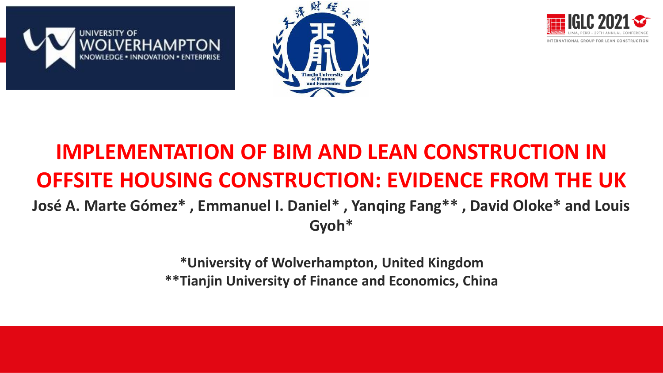





# **IMPLEMENTATION OF BIM AND LEAN CONSTRUCTION IN OFFSITE HOUSING CONSTRUCTION: EVIDENCE FROM THE UK**

**José A. Marte Gómez\* , Emmanuel I. Daniel\* , Yanqing Fang\*\* , David Oloke\* and Louis Gyoh\***

> **\*University of Wolverhampton, United Kingdom \*\*Tianjin University of Finance and Economics, China**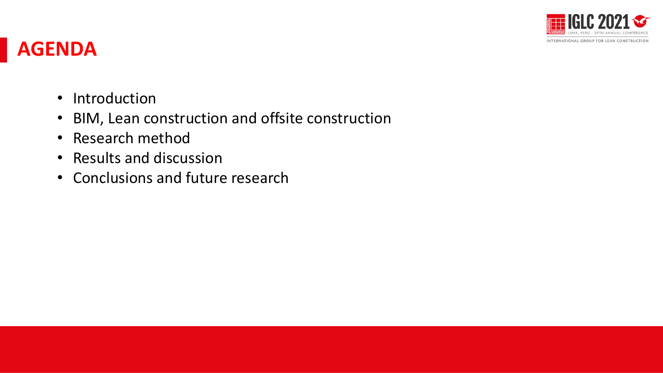

### **AGENDA**

- Introduction
- BIM, Lean construction and offsite construction
- Research method
- Results and discussion
- Conclusions and future research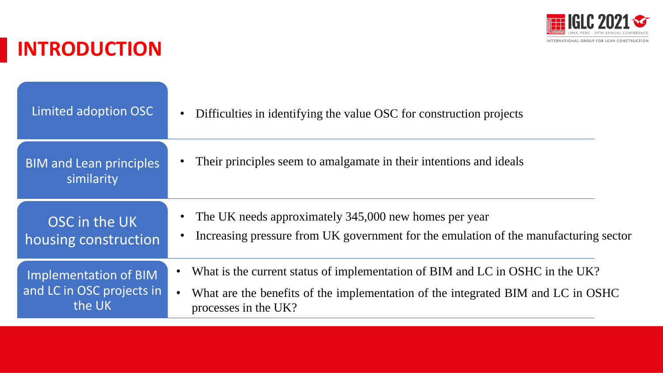

# **INTRODUCTION**

| Limited adoption OSC                         | Difficulties in identifying the value OSC for construction projects                  |
|----------------------------------------------|--------------------------------------------------------------------------------------|
| <b>BIM and Lean principles</b><br>similarity | Their principles seem to amalgamate in their intentions and ideals                   |
| OSC in the UK                                | The UK needs approximately 345,000 new homes per year                                |
| housing construction                         | Increasing pressure from UK government for the emulation of the manufacturing sector |
| Implementation of BIM                        | What is the current status of implementation of BIM and LC in OSHC in the UK?        |
| and LC in OSC projects in                    | What are the benefits of the implementation of the integrated BIM and LC in OSHC     |
| the UK                                       | processes in the UK?                                                                 |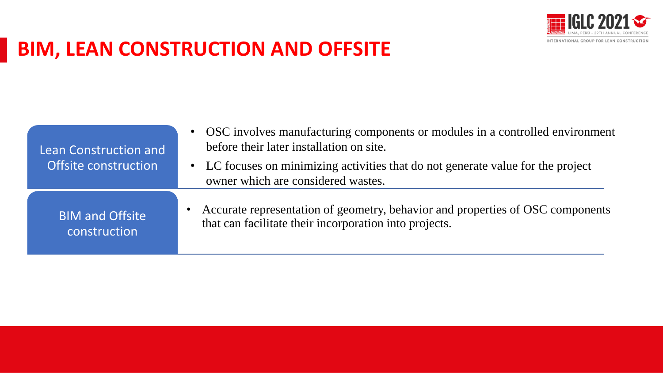

# **BIM, LEAN CONSTRUCTION AND OFFSITE**

| Lean Construction and<br>Offsite construction | • OSC involves manufacturing components or modules in a controlled environment<br>before their later installation on site.<br>• LC focuses on minimizing activities that do not generate value for the project<br>owner which are considered wastes. |
|-----------------------------------------------|------------------------------------------------------------------------------------------------------------------------------------------------------------------------------------------------------------------------------------------------------|
| <b>BIM and Offsite</b>                        | Accurate representation of geometry, behavior and properties of OSC components                                                                                                                                                                       |
| construction                                  | that can facilitate their incorporation into projects.                                                                                                                                                                                               |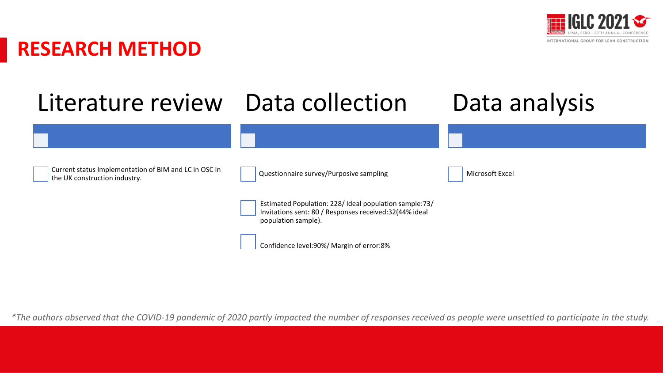

# **RESEARCH METHOD**



*\*The authors observed that the COVID-19 pandemic of 2020 partly impacted the number of responses received as people were unsettled to participate in the study.*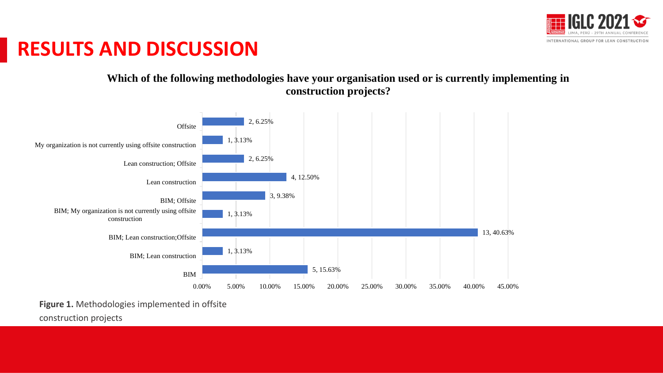

#### **Which of the following methodologies have your organisation used or is currently implementing in construction projects?**



**Figure 1.** Methodologies implemented in offsite

construction projects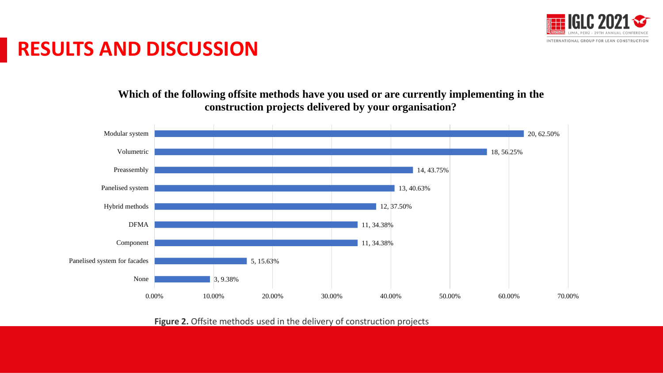

**Which of the following offsite methods have you used or are currently implementing in the construction projects delivered by your organisation?** 



Figure 2. Offsite methods used in the delivery of construction projects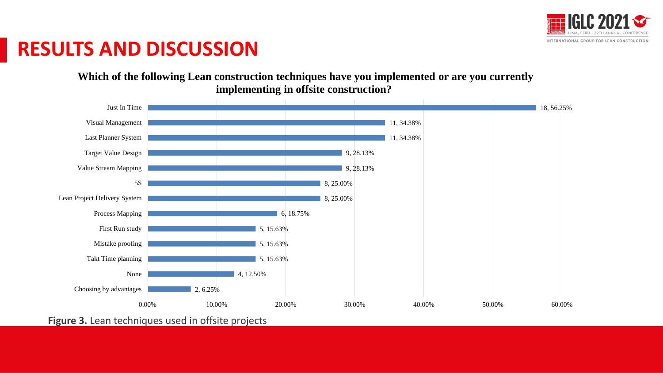

**Which of the following Lean construction techniques have you implemented or are you currently implementing in offsite construction?** 



**Figure 3.** Lean techniques used in offsite projects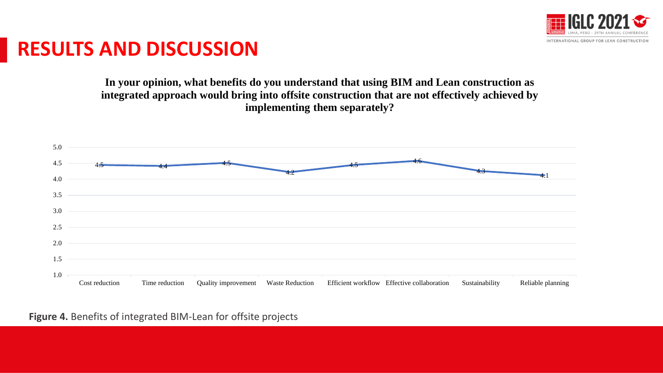

**In your opinion, what benefits do you understand that using BIM and Lean construction as integrated approach would bring into offsite construction that are not effectively achieved by implementing them separately?**



**Figure 4.** Benefits of integrated BIM-Lean for offsite projects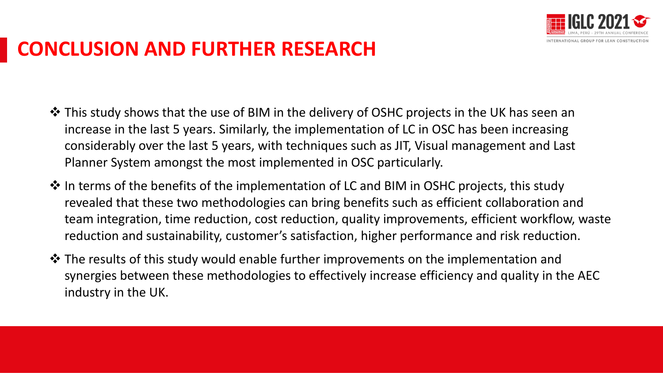

# **CONCLUSION AND FURTHER RESEARCH**

- ❖ This study shows that the use of BIM in the delivery of OSHC projects in the UK has seen an increase in the last 5 years. Similarly, the implementation of LC in OSC has been increasing considerably over the last 5 years, with techniques such as JIT, Visual management and Last Planner System amongst the most implemented in OSC particularly.
- ❖ In terms of the benefits of the implementation of LC and BIM in OSHC projects, this study revealed that these two methodologies can bring benefits such as efficient collaboration and team integration, time reduction, cost reduction, quality improvements, efficient workflow, waste reduction and sustainability, customer's satisfaction, higher performance and risk reduction.
- ❖ The results of this study would enable further improvements on the implementation and synergies between these methodologies to effectively increase efficiency and quality in the AEC industry in the UK.